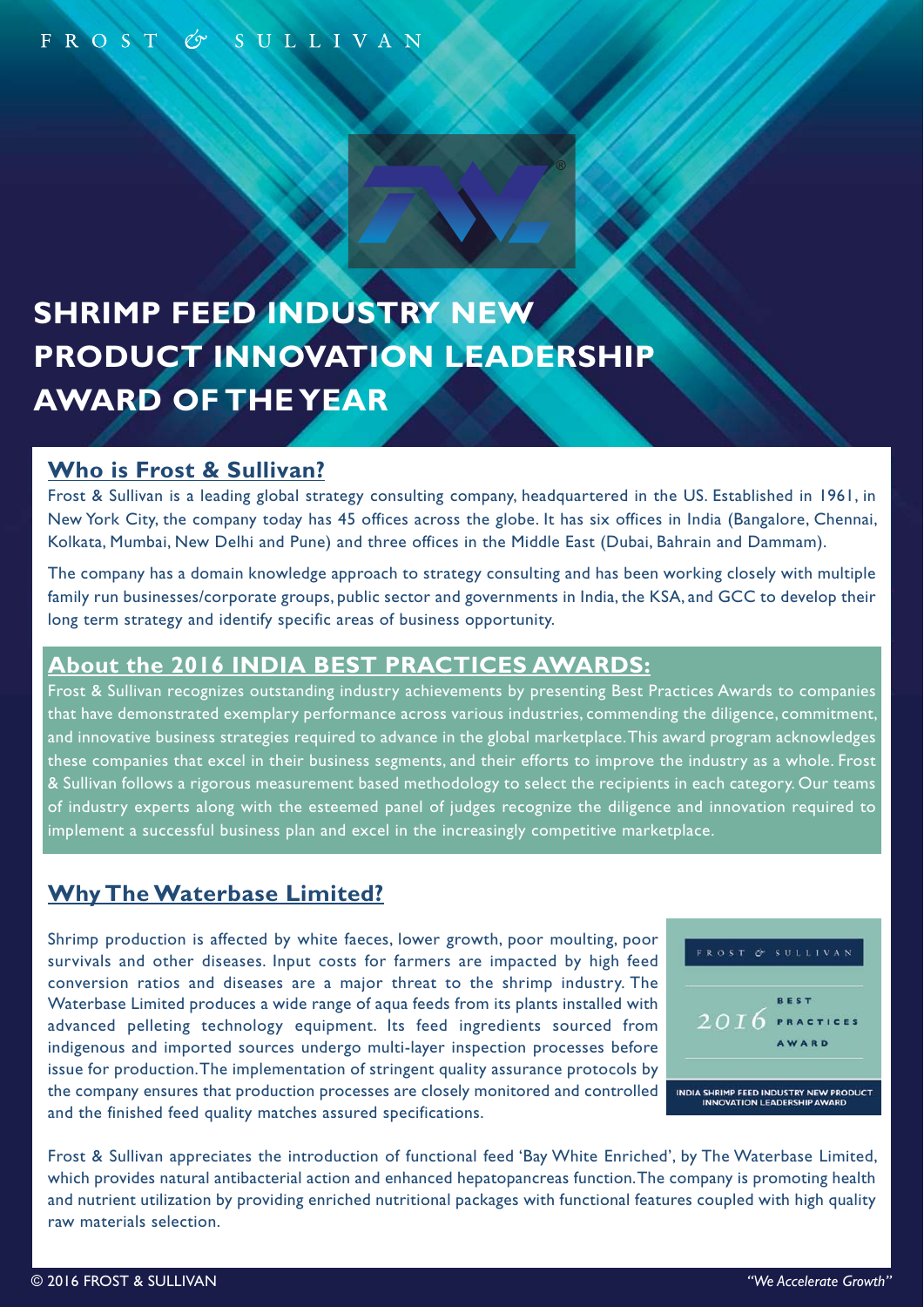# FROST & SULLIVAN

# **SHRIMP FEED INDUSTRY NEW PRODUCT INNOVATION LEADERSHIP AWARD OF THE YEAR**

#### **Who is Frost & Sullivan?**

Frost & Sullivan is a leading global strategy consulting company, headquartered in the US. Established in 1961, in New York City, the company today has 45 offices across the globe. It has six offices in India (Bangalore, Chennai, Kolkata, Mumbai, New Delhi and Pune) and three offices in the Middle East (Dubai, Bahrain and Dammam).

The company has a domain knowledge approach to strategy consulting and has been working closely with multiple family run businesses/corporate groups, public sector and governments in India, the KSA, and GCC to develop their long term strategy and identify specific areas of business opportunity.

#### **About the 2016 INDIA BEST PRACTICES AWARDS:**

Frost & Sullivan recognizes outstanding industry achievements by presenting Best Practices Awards to companies that have demonstrated exemplary performance across various industries, commending the diligence, commitment, and innovative business strategies required to advance in the global marketplace. This award program acknowledges these companies that excel in their business segments, and their efforts to improve the industry as a whole. Frost & Sullivan follows a rigorous measurement based methodology to select the recipients in each category. Our teams of industry experts along with the esteemed panel of judges recognize the diligence and innovation required to implement a successful business plan and excel in the increasingly competitive marketplace.

### **Why The Waterbase Limited?**

Shrimp production is affected by white faeces, lower growth, poor moulting, poor survivals and other diseases. Input costs for farmers are impacted by high feed conversion ratios and diseases are a major threat to the shrimp industry. The Waterbase Limited produces a wide range of aqua feeds from its plants installed with advanced pelleting technology equipment. Its feed ingredients sourced from indigenous and imported sources undergo multi-layer inspection processes before issue for production. The implementation of stringent quality assurance protocols by the company ensures that production processes are closely monitored and controlled and the finished feed quality matches assured specifications.



Frost & Sullivan appreciates the introduction of functional feed 'Bay White Enriched', by The Waterbase Limited, which provides natural antibacterial action and enhanced hepatopancreas function. The company is promoting health and nutrient utilization by providing enriched nutritional packages with functional features coupled with high quality raw materials selection.